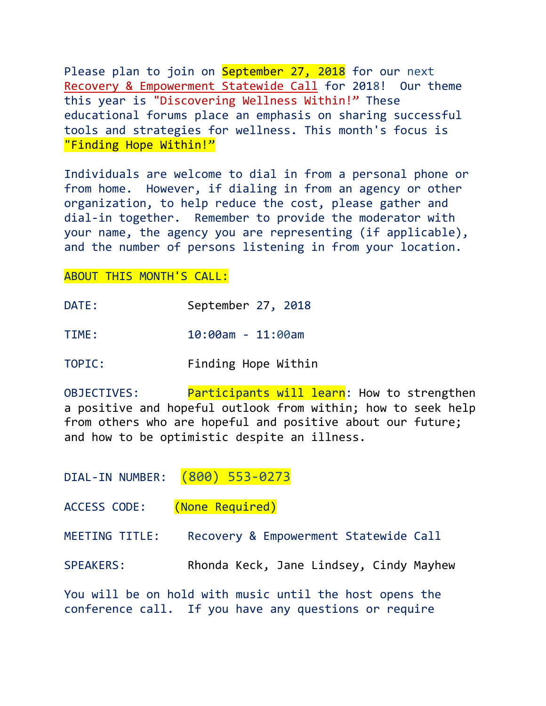Please plan to join on September 27, 2018 for our next Recovery & Empowerment Statewide Call for 2018! Our theme this year is "Discovering Wellness Within!" These educational forums place an emphasis on sharing successful tools and strategies for wellness. This month's focus is "Finding Hope Within!"

Individuals are welcome to dial in from a personal phone or from home. However, if dialing in from an agency or other organization, to help reduce the cost, please gather and dial-in together. Remember to provide the moderator with your name, the agency you are representing (if applicable), and the number of persons listening in from your location.

## ABOUT THIS MONTH'S CALL:

| September 27, 2018<br>DATE: |  |  |
|-----------------------------|--|--|
|-----------------------------|--|--|

TIME: 10:00am - 11:00am

TOPIC: Finding Hope Within

OBJECTIVES: Participants will learn: How to strengthen a positive and hopeful outlook from within; how to seek help from others who are hopeful and positive about our future; and how to be optimistic despite an illness.

DIAL-IN NUMBER: (800) 553-0273

ACCESS CODE: (None Required)

MEETING TITLE: Recovery & Empowerment Statewide Call

SPEAKERS: Rhonda Keck, Jane Lindsey, Cindy Mayhew

You will be on hold with music until the host opens the conference call. If you have any questions or require